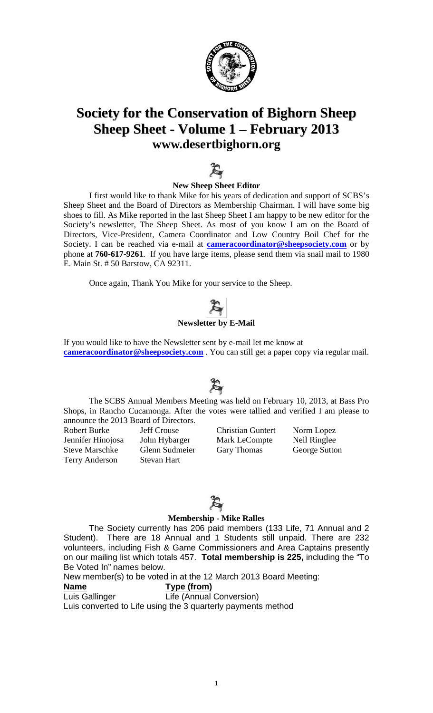

## **Society for the Conservation of Bighorn Sheep Sheep Sheet - Volume 1 – February 2013 [www.desertbighorn.org](http://www.desertbighorn.org/)**



#### **New Sheep Sheet Editor**

I first would like to thank Mike for his years of dedication and support of SCBS's Sheep Sheet and the Board of Directors as Membership Chairman. I will have some big shoes to fill. As Mike reported in the last Sheep Sheet I am happy to be new editor for the Society's newsletter, The Sheep Sheet. As most of you know I am on the Board of Directors, Vice-President, Camera Coordinator and Low Country Boil Chef for the Society. I can be reached via e-mail at **[cameracoordinator@sheepsociety.com](mailto:cameracoordinator@sheepsociety.com)** or by phone at **760-617-9261**. If you have large items, please send them via snail mail to 1980 E. Main St. # 50 Barstow, CA 92311.

Once again, Thank You Mike for your service to the Sheep.

## **Newsletter by E-Mail**

If you would like to have the Newsletter sent by e-mail let me know at **[cameracoordinator@sheepsociety.com](mailto:cameracoordinator@sheepsociety.com)** . You can still get a paper copy via regular mail.

The SCBS Annual Members Meeting was held on February 10, 2013, at Bass Pro Shops, in Rancho Cucamonga. After the votes were tallied and verified I am please to announce the 2013 Board of Directors.

Robert Burke Jeff Crouse Christian Guntert Norm Lopez Terry Anderson Stevan Hart

Jennifer Hinojosa John Hybarger Mark LeCompte Neil Ringlee Steve Marschke Glenn Sudmeier Gary Thomas George Sutton

## $\boldsymbol{\mathcal{F}}$

#### **Membership - Mike Ralles**

The Society currently has 206 paid members (133 Life, 71 Annual and 2 Student). There are 18 Annual and 1 Students still unpaid. There are 232 volunteers, including Fish & Game Commissioners and Area Captains presently on our mailing list which totals 457. **Total membership is 225,** including the "To Be Voted In" names below.

New member(s) to be voted in at the 12 March 2013 Board Meeting:

#### **Name Type (from)**

Luis Gallinger Life (Annual Conversion)

Luis converted to Life using the 3 quarterly payments method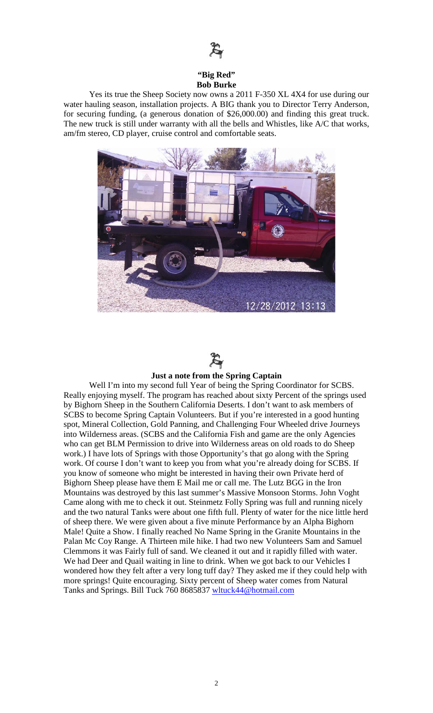

#### **"Big Red" Bob Burke**

Yes its true the Sheep Society now owns a 2011 F-350 XL 4X4 for use during our water hauling season, installation projects. A BIG thank you to Director Terry Anderson, for securing funding, (a generous donation of \$26,000.00) and finding this great truck. The new truck is still under warranty with all the bells and Whistles, like A/C that works, am/fm stereo, CD player, cruise control and comfortable seats.





#### **Just a note from the Spring Captain**

Well I'm into my second full Year of being the Spring Coordinator for SCBS. Really enjoying myself. The program has reached about sixty Percent of the springs used by Bighorn Sheep in the Southern California Deserts. I don't want to ask members of SCBS to become Spring Captain Volunteers. But if you're interested in a good hunting spot, Mineral Collection, Gold Panning, and Challenging Four Wheeled drive Journeys into Wilderness areas. (SCBS and the California Fish and game are the only Agencies who can get BLM Permission to drive into Wilderness areas on old roads to do Sheep work.) I have lots of Springs with those Opportunity's that go along with the Spring work. Of course I don't want to keep you from what you're already doing for SCBS. If you know of someone who might be interested in having their own Private herd of Bighorn Sheep please have them E Mail me or call me. The Lutz BGG in the Iron Mountains was destroyed by this last summer's Massive Monsoon Storms. John Voght Came along with me to check it out. Steinmetz Folly Spring was full and running nicely and the two natural Tanks were about one fifth full. Plenty of water for the nice little herd of sheep there. We were given about a five minute Performance by an Alpha Bighorn Male! Quite a Show. I finally reached No Name Spring in the Granite Mountains in the Palan Mc Coy Range. A Thirteen mile hike. I had two new Volunteers Sam and Samuel Clemmons it was Fairly full of sand. We cleaned it out and it rapidly filled with water. We had Deer and Quail waiting in line to drink. When we got back to our Vehicles I wondered how they felt after a very long tuff day? They asked me if they could help with more springs! Quite encouraging. Sixty percent of Sheep water comes from Natural Tanks and Springs. Bill Tuck 760 8685837 [wltuck44@hotmail.com](mailto:wltuck44@hotmail.com)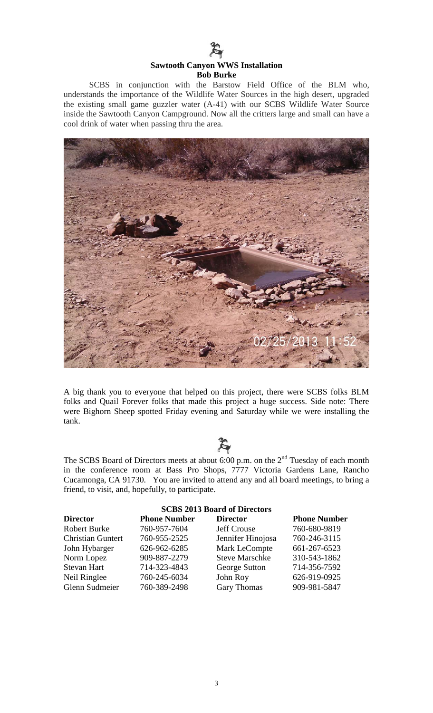

#### **Sawtooth Canyon WWS Installation Bob Burke**

SCBS in conjunction with the Barstow Field Office of the BLM who, understands the importance of the Wildlife Water Sources in the high desert, upgraded the existing small game guzzler water (A-41) with our SCBS Wildlife Water Source inside the Sawtooth Canyon Campground. Now all the critters large and small can have a cool drink of water when passing thru the area.



A big thank you to everyone that helped on this project, there were SCBS folks BLM folks and Quail Forever folks that made this project a huge success. Side note: There were Bighorn Sheep spotted Friday evening and Saturday while we were installing the tank.



The SCBS Board of Directors meets at about 6:00 p.m. on the  $2<sup>nd</sup>$  Tuesday of each month in the conference room at Bass Pro Shops, 7777 Victoria Gardens Lane, Rancho Cucamonga, CA 91730. You are invited to attend any and all board meetings, to bring a friend, to visit, and, hopefully, to participate.

| <b>SCBS 2013 Board of Directors</b> |                     |                       |                     |  |
|-------------------------------------|---------------------|-----------------------|---------------------|--|
| <b>Director</b>                     | <b>Phone Number</b> | <b>Director</b>       | <b>Phone Number</b> |  |
| <b>Robert Burke</b>                 | 760-957-7604        | <b>Jeff Crouse</b>    | 760-680-9819        |  |
| <b>Christian Guntert</b>            | 760-955-2525        | Jennifer Hinojosa     | 760-246-3115        |  |
| John Hybarger                       | 626-962-6285        | Mark LeCompte         | 661-267-6523        |  |
| Norm Lopez                          | 909-887-2279        | <b>Steve Marschke</b> | 310-543-1862        |  |
| <b>Stevan Hart</b>                  | 714-323-4843        | George Sutton         | 714-356-7592        |  |
| Neil Ringlee                        | 760-245-6034        | John Roy              | 626-919-0925        |  |
| Glenn Sudmeier                      | 760-389-2498        | <b>Gary Thomas</b>    | 909-981-5847        |  |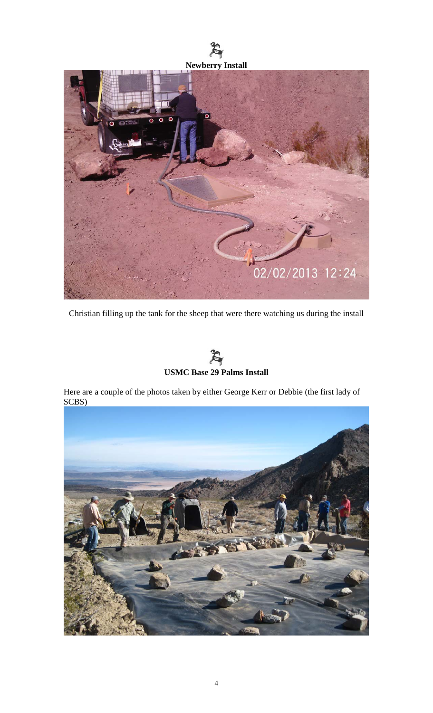



Christian filling up the tank for the sheep that were there watching us during the install



Here are a couple of the photos taken by either George Kerr or Debbie (the first lady of SCBS)

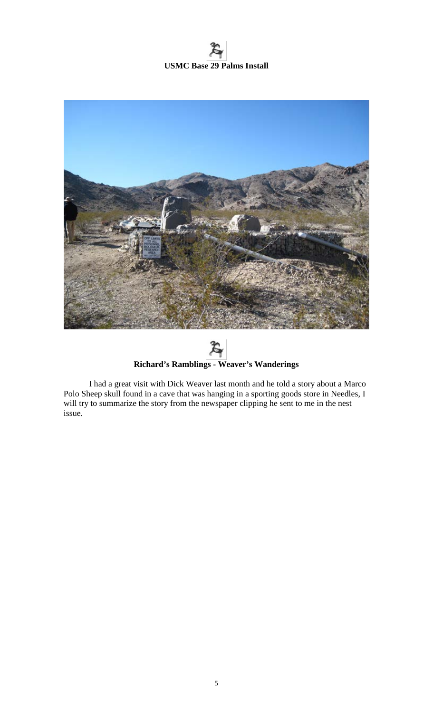# **USMC Base 29 Palms Install**



 $\cancel{\mathcal{E}}$ **Richard's Ramblings - Weaver's Wanderings**

I had a great visit with Dick Weaver last month and he told a story about a Marco Polo Sheep skull found in a cave that was hanging in a sporting goods store in Needles, I will try to summarize the story from the newspaper clipping he sent to me in the nest issue.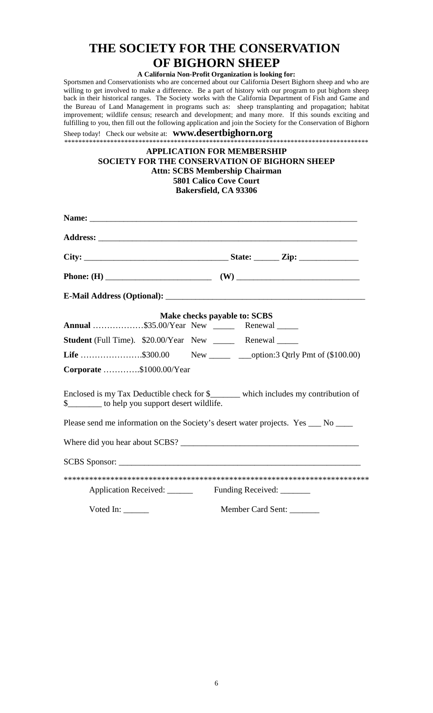### **THE SOCIETY FOR THE CONSERVATION OF BIGHORN SHEEP**

### **A California Non-Profit Organization is looking for:**

Sportsmen and Conservationists who are concerned about our California Desert Bighorn sheep and who are willing to get involved to make a difference. Be a part of history with our program to put bighorn sheep back in their historical ranges. The Society works with the California Department of Fish and Game and the Bureau of Land Management in programs such as: sheep transplanting and propagation; habitat improvement; wildlife census; research and development; and many more. If this sounds exciting and fulfilling to you, then fill out the following application and join the Society for the Conservation of Bighorn

Sheep today! Check our website at: **www.desertbighorn.org** \*\*\*\*\*\*\*\*\*\*\*\*\*\*\*\*\*\*\*\*\*\*\*\*\*\*\*\*\*\*\*\*\*\*\*\*\*\*\*\*\*\*\*\*\*\*\*\*\*\*\*\*\*\*\*\*\*\*\*\*\*\*\*\*\*\*\*\*\*\*\*\*\*\*\*\*\*\*\*\*\*\*\*\*\*\*

#### **APPLICATION FOR MEMBERSHIP SOCIETY FOR THE CONSERVATION OF BIGHORN SHEEP Attn: SCBS Membership Chairman 5801 Calico Cove Court Bakersfield, CA 93306**

| Annual \$35.00/Year New _______ Renewal ______                                                                                          | Make checks payable to: SCBS |  |  |
|-----------------------------------------------------------------------------------------------------------------------------------------|------------------------------|--|--|
| Student (Full Time). \$20.00/Year New ______ Renewal _____                                                                              |                              |  |  |
| <b>Life</b> \$300.00 New ________ ___option:3 Qtrly Pmt of $(\$100.00)$                                                                 |                              |  |  |
| Corporate \$1000.00/Year                                                                                                                |                              |  |  |
| Enclosed is my Tax Deductible check for \$______ which includes my contribution of<br>\$__________ to help you support desert wildlife. |                              |  |  |
| Please send me information on the Society's desert water projects. Yes ___ No ___                                                       |                              |  |  |
|                                                                                                                                         |                              |  |  |
|                                                                                                                                         |                              |  |  |
|                                                                                                                                         |                              |  |  |
| Application Received: Funding Received: ______                                                                                          |                              |  |  |
| Voted In: $\_\_$                                                                                                                        | Member Card Sent:            |  |  |